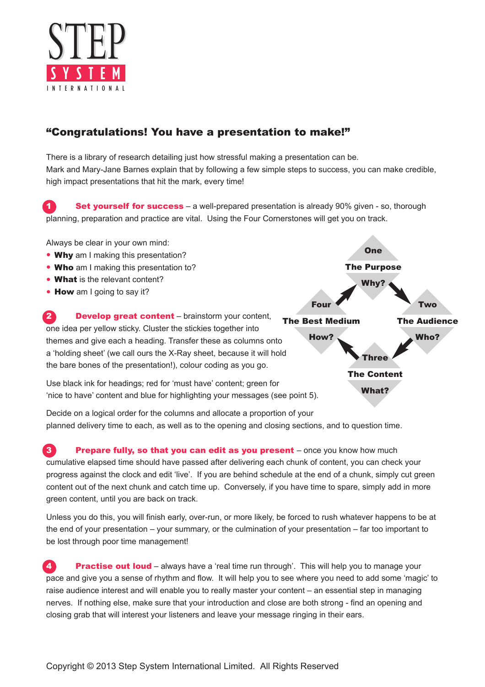

## "Congratulations! You have a presentation to make!"

There is a library of research detailing just how stressful making a presentation can be. Mark and Mary-Jane Barnes explain that by following a few simple steps to success, you can make credible, high impact presentations that hit the mark, every time!

Set yourself for success – a well-prepared presentation is already 90% given - so, thorough planning, preparation and practice are vital. Using the Four Cornerstones will get you on track.

Always be clear in your own mind:

- Why am I making this presentation?
- Who am I making this presentation to?
- What is the relevant content?
- How am I going to say it?

**2** Develop great content – brainstorm your content, one idea per yellow sticky. Cluster the stickies together into themes and give each a heading. Transfer these as columns onto a 'holding sheet' (we call ours the X-Ray sheet, because it will hold the bare bones of the presentation!), colour coding as you go.

Use black ink for headings; red for 'must have' content; green for 'nice to have' content and blue for highlighting your messages (see point 5).

Decide on a logical order for the columns and allocate a proportion of your planned delivery time to each, as well as to the opening and closing sections, and to question time.

**3** Prepare fully, so that you can edit as you present – once you know how much cumulative elapsed time should have passed after delivering each chunk of content, you can check your progress against the clock and edit 'live'. If you are behind schedule at the end of a chunk, simply cut green content out of the next chunk and catch time up. Conversely, if you have time to spare, simply add in more green content, until you are back on track.

Unless you do this, you will finish early, over-run, or more likely, be forced to rush whatever happens to be at the end of your presentation – your summary, or the culmination of your presentation – far too important to be lost through poor time management!

**4.** Practise out loud – always have a 'real time run through'. This will help you to manage your pace and give you a sense of rhythm and flow. It will help you to see where you need to add some 'magic' to raise audience interest and will enable you to really master your content – an essential step in managing nerves. If nothing else, make sure that your introduction and close are both strong - find an opening and closing grab that will interest your listeners and leave your message ringing in their ears.